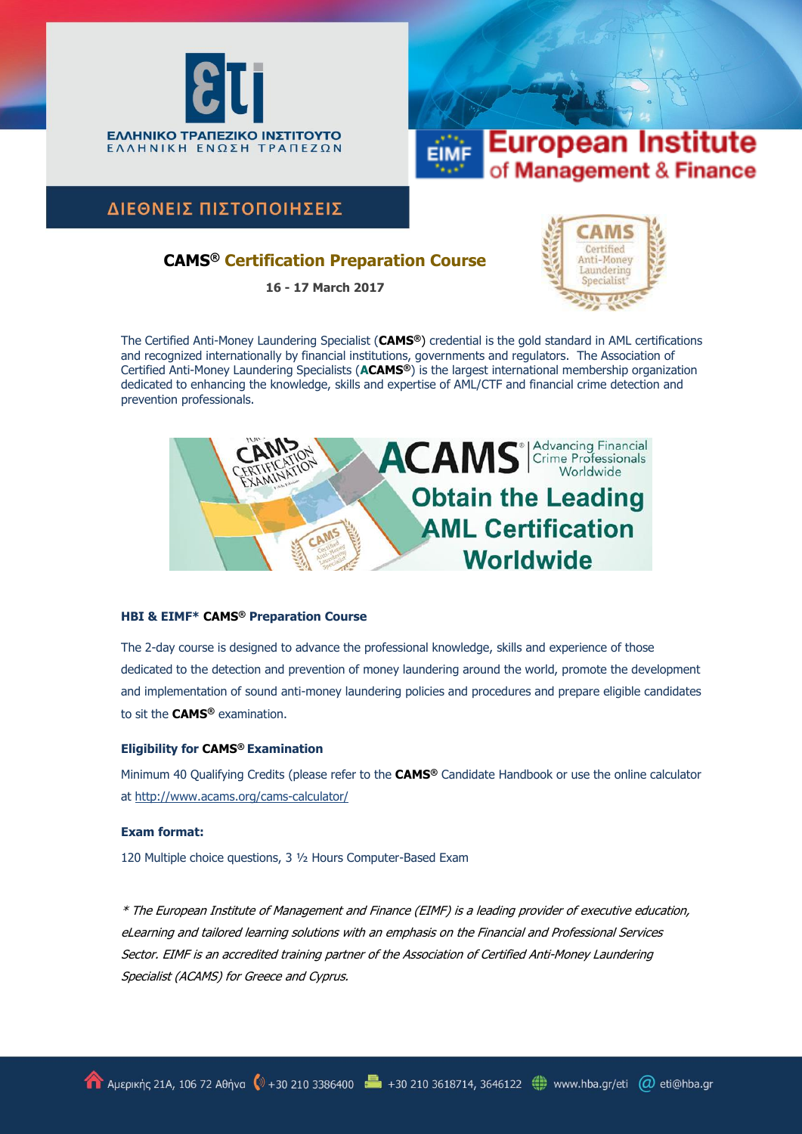



ΔΙΕΘΝΕΙΣ ΠΙΣΤΟΠΟΙΗΣΕΙΣ

## **CAMS® Certification Preparation Course**

**16 - 17 March 2017**



The Certified Anti-Money Laundering Specialist (**CAMS®**) credential is the gold standard in AML certifications and recognized internationally by financial institutions, governments and regulators. The Association of Certified Anti-Money Laundering Specialists (**ACAMS®**) is the largest international membership organization dedicated to enhancing the knowledge, skills and expertise of AML/CTF and financial crime detection and prevention professionals.



## **HBI & EIMF\* CAMS® Preparation Course**

The 2-day course is designed to advance the professional knowledge, skills and experience of those dedicated to the detection and prevention of money laundering around the world, promote the development and implementation of sound anti-money laundering policies and procedures and prepare eligible candidates to sit the **CAMS®** examination.

## **Eligibility for CAMS® Examination**

Minimum 40 Qualifying Credits (please refer to the **CAMS®** Candidate Handbook or use the online calculator at http://www.acams.org/cams-calculator/

## **Exam format:**

120 Multiple choice questions, 3 ½ Hours Computer-Based Exam

\* The European Institute of Management and Finance (EIMF) is a leading provider of executive education, eLearning and tailored learning solutions with an emphasis on the Financial and Professional Services Sector. EIMF is an accredited training partner of the Association of Certified Anti-Money Laundering Specialist (ACAMS) for Greece and Cyprus.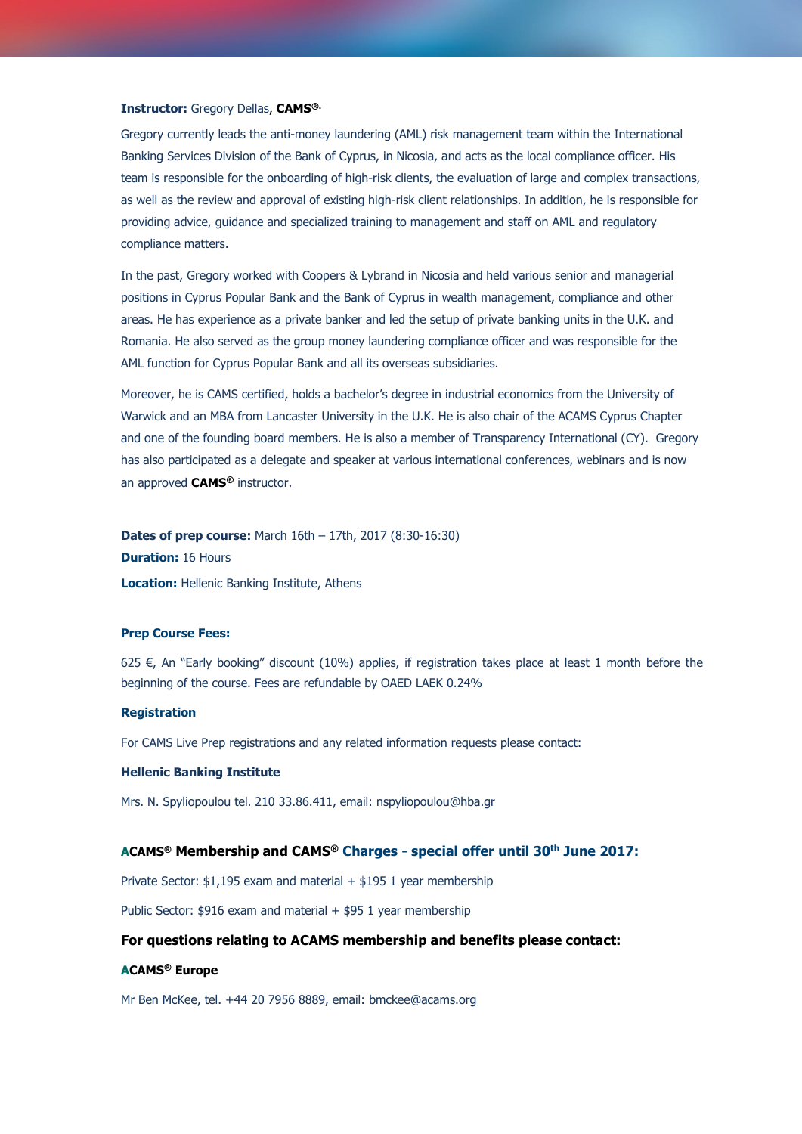#### **Instructor:** Gregory Dellas, **CAMS®.**

Gregory currently leads the anti-money laundering (AML) risk management team within the International Banking Services Division of the Bank of Cyprus, in Nicosia, and acts as the local compliance officer. His team is responsible for the onboarding of high-risk clients, the evaluation of large and complex transactions, as well as the review and approval of existing high-risk client relationships. In addition, he is responsible for providing advice, guidance and specialized training to management and staff on AML and regulatory compliance matters.

In the past, Gregory worked with Coopers & Lybrand in Nicosia and held various senior and managerial positions in Cyprus Popular Bank and the Bank of Cyprus in wealth management, compliance and other areas. He has experience as a private banker and led the setup of private banking units in the U.K. and Romania. He also served as the group money laundering compliance officer and was responsible for the AML function for Cyprus Popular Bank and all its overseas subsidiaries.

Moreover, he is CAMS certified, holds a bachelor's degree in industrial economics from the University of Warwick and an MBA from Lancaster University in the U.K. He is also chair of the ACAMS Cyprus Chapter and one of the founding board members. He is also a member of Transparency International (CY). Gregory has also participated as a delegate and speaker at various international conferences, webinars and is now an approved **CAMS®** instructor.

**Dates of prep course:** March 16th – 17th, 2017 (8:30-16:30) **Duration:** 16 Hours **Location:** Hellenic Banking Institute, Athens

#### **Prep Course Fees:**

625  $\epsilon$ , An "Early booking" discount (10%) applies, if registration takes place at least 1 month before the beginning of the course. Fees are refundable by OAED LAEK 0.24%

#### **Registration**

For CAMS Live Prep registrations and any related information requests please contact:

#### **Hellenic Banking Institute**

Mrs. N. Spyliopoulou tel. 210 33.86.411, email: [nspyliopoulou@hba.gr](mailto:nspyliopoulou@hba.gr)

## **ACAMS® Membership and CAMS® Charges - special offer until 30th June 2017:**

Private Sector: \$1,195 exam and material + \$195 1 year membership

Public Sector:  $$916$  exam and material  $+$  \$95 1 year membership

## **For questions relating to ACAMS membership and benefits please contact:**

#### **ACAMS® Europe**

Mr Ben McKee, tel. +44 20 7956 8889, email: [bmckee@acams.org](mailto:bmckee@acams.org)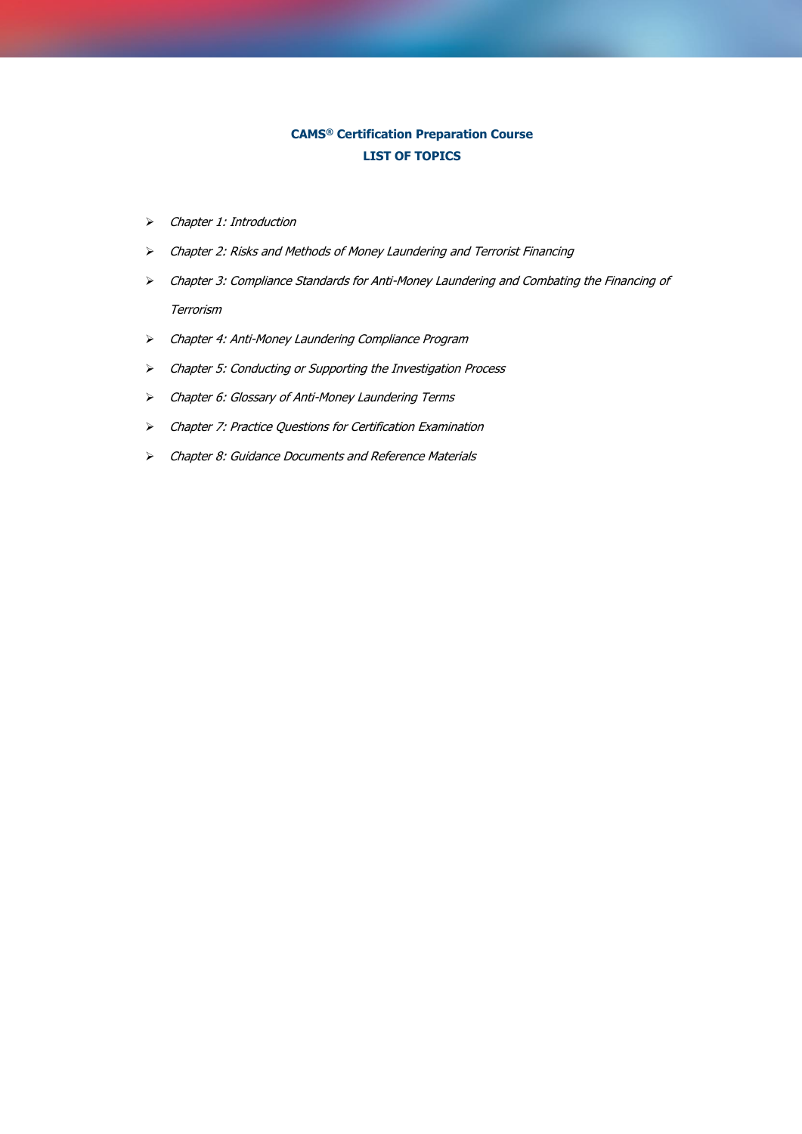# **CAMS® Certification Preparation Course LIST OF TOPICS**

- Chapter 1: Introduction
- Chapter 2: Risks and Methods of Money Laundering and Terrorist Financing
- Chapter 3: Compliance Standards for Anti-Money Laundering and Combating the Financing of Terrorism
- Chapter 4: Anti-Money Laundering Compliance Program
- Chapter 5: Conducting or Supporting the Investigation Process
- Chapter 6: Glossary of Anti-Money Laundering Terms
- Chapter 7: Practice Questions for Certification Examination
- Chapter 8: Guidance Documents and Reference Materials